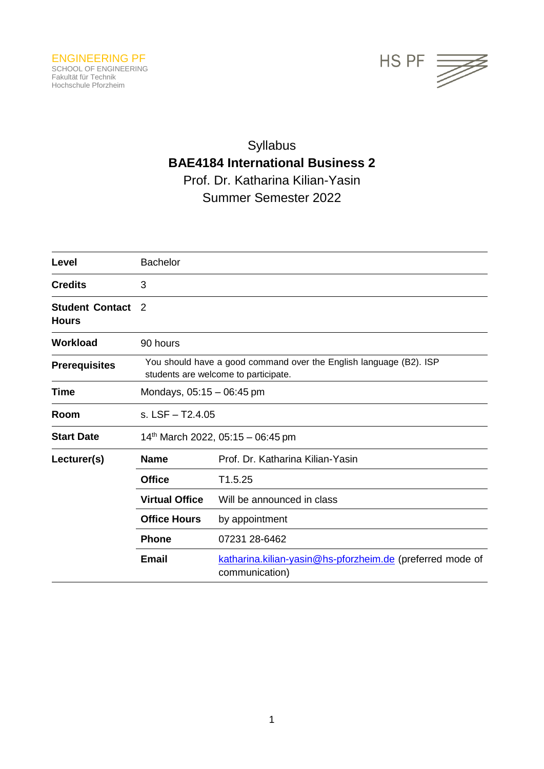

# Syllabus **BAE4184 International Business 2** Prof. Dr. Katharina Kilian-Yasin Summer Semester 2022

| Level                                  | <b>Bachelor</b>                                                                                            |                                                                             |  |
|----------------------------------------|------------------------------------------------------------------------------------------------------------|-----------------------------------------------------------------------------|--|
| <b>Credits</b>                         | 3                                                                                                          |                                                                             |  |
| <b>Student Contact</b><br><b>Hours</b> | 2                                                                                                          |                                                                             |  |
| <b>Workload</b>                        | 90 hours                                                                                                   |                                                                             |  |
| <b>Prerequisites</b>                   | You should have a good command over the English language (B2). ISP<br>students are welcome to participate. |                                                                             |  |
| Time                                   | Mondays, $05:15 - 06:45$ pm                                                                                |                                                                             |  |
| Room                                   | s. $LSF - T2.4.05$                                                                                         |                                                                             |  |
| <b>Start Date</b>                      | 14th March 2022, 05:15 - 06:45 pm                                                                          |                                                                             |  |
| Lecturer(s)                            | <b>Name</b>                                                                                                | Prof. Dr. Katharina Kilian-Yasin                                            |  |
|                                        | <b>Office</b>                                                                                              | T1.5.25                                                                     |  |
|                                        | <b>Virtual Office</b>                                                                                      | Will be announced in class                                                  |  |
|                                        | <b>Office Hours</b>                                                                                        | by appointment                                                              |  |
|                                        | <b>Phone</b>                                                                                               | 07231 28-6462                                                               |  |
|                                        | <b>Email</b>                                                                                               | katharina.kilian-yasin@hs-pforzheim.de (preferred mode of<br>communication) |  |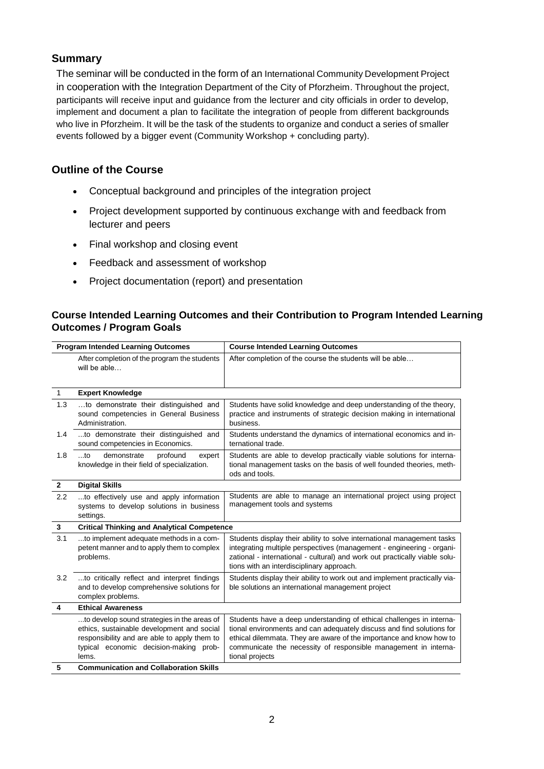## **Summary**

The seminar will be conducted in the form of an International Community Development Project in cooperation with the Integration Department of the City of Pforzheim. Throughout the project, participants will receive input and guidance from the lecturer and city officials in order to develop, implement and document a plan to facilitate the integration of people from different backgrounds who live in Pforzheim. It will be the task of the students to organize and conduct a series of smaller events followed by a bigger event (Community Workshop + concluding party).

## **Outline of the Course**

- Conceptual background and principles of the integration project
- Project development supported by continuous exchange with and feedback from lecturer and peers
- Final workshop and closing event
- Feedback and assessment of workshop
- Project documentation (report) and presentation

## **Course Intended Learning Outcomes and their Contribution to Program Intended Learning Outcomes / Program Goals**

| <b>Program Intended Learning Outcomes</b> |                                                                                                                                                                                              | <b>Course Intended Learning Outcomes</b>                                                                                                                                                                                                                                                                   |  |
|-------------------------------------------|----------------------------------------------------------------------------------------------------------------------------------------------------------------------------------------------|------------------------------------------------------------------------------------------------------------------------------------------------------------------------------------------------------------------------------------------------------------------------------------------------------------|--|
|                                           | After completion of the program the students<br>will be able                                                                                                                                 | After completion of the course the students will be able                                                                                                                                                                                                                                                   |  |
| $\mathbf{1}$                              | <b>Expert Knowledge</b>                                                                                                                                                                      |                                                                                                                                                                                                                                                                                                            |  |
| 1.3                                       | to demonstrate their distinguished and<br>sound competencies in General Business<br>Administration.                                                                                          | Students have solid knowledge and deep understanding of the theory,<br>practice and instruments of strategic decision making in international<br>business.                                                                                                                                                 |  |
| 1.4                                       | to demonstrate their distinguished and<br>sound competencies in Economics.                                                                                                                   | Students understand the dynamics of international economics and in-<br>ternational trade.                                                                                                                                                                                                                  |  |
| 1.8                                       | $$ to<br>demonstrate<br>profound<br>expert<br>knowledge in their field of specialization.                                                                                                    | Students are able to develop practically viable solutions for interna-<br>tional management tasks on the basis of well founded theories, meth-<br>ods and tools.                                                                                                                                           |  |
| $\mathbf{2}$                              | <b>Digital Skills</b>                                                                                                                                                                        |                                                                                                                                                                                                                                                                                                            |  |
| 2.2                                       | to effectively use and apply information<br>systems to develop solutions in business<br>settings.                                                                                            | Students are able to manage an international project using project<br>management tools and systems                                                                                                                                                                                                         |  |
| 3                                         | <b>Critical Thinking and Analytical Competence</b>                                                                                                                                           |                                                                                                                                                                                                                                                                                                            |  |
| 3.1                                       | to implement adequate methods in a com-<br>petent manner and to apply them to complex<br>problems.                                                                                           | Students display their ability to solve international management tasks<br>integrating multiple perspectives (management - engineering - organi-<br>zational - international - cultural) and work out practically viable solu-<br>tions with an interdisciplinary approach.                                 |  |
| 3.2                                       | to critically reflect and interpret findings<br>and to develop comprehensive solutions for<br>complex problems.                                                                              | Students display their ability to work out and implement practically via-<br>ble solutions an international management project                                                                                                                                                                             |  |
| 4                                         | <b>Ethical Awareness</b>                                                                                                                                                                     |                                                                                                                                                                                                                                                                                                            |  |
|                                           | to develop sound strategies in the areas of<br>ethics, sustainable development and social<br>responsibility and are able to apply them to<br>typical economic decision-making prob-<br>lems. | Students have a deep understanding of ethical challenges in interna-<br>tional environments and can adequately discuss and find solutions for<br>ethical dilemmata. They are aware of the importance and know how to<br>communicate the necessity of responsible management in interna-<br>tional projects |  |
| 5                                         | <b>Communication and Collaboration Skills</b>                                                                                                                                                |                                                                                                                                                                                                                                                                                                            |  |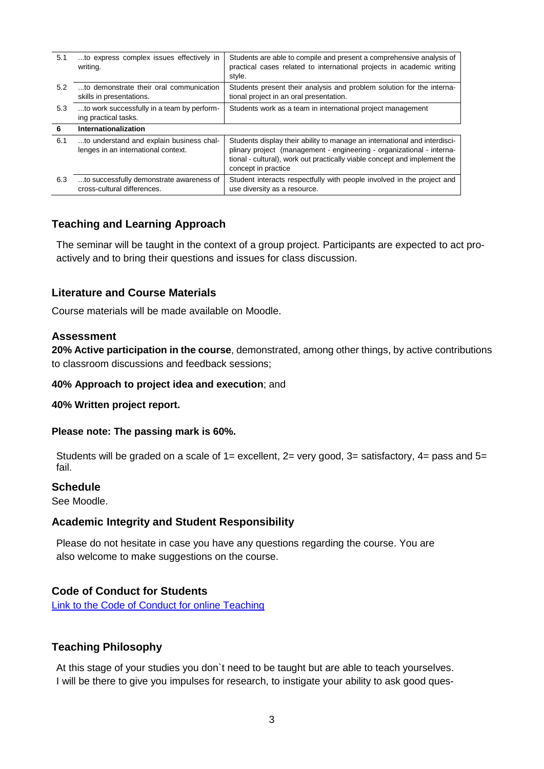| 5.1 | to express complex issues effectively in<br>writing.                            | Students are able to compile and present a comprehensive analysis of<br>practical cases related to international projects in academic writing<br>style.                                                                                                |
|-----|---------------------------------------------------------------------------------|--------------------------------------------------------------------------------------------------------------------------------------------------------------------------------------------------------------------------------------------------------|
| 5.2 | to demonstrate their oral communication<br>skills in presentations.             | Students present their analysis and problem solution for the interna-<br>tional project in an oral presentation.                                                                                                                                       |
| 5.3 | to work successfully in a team by perform-<br>ing practical tasks.              | Students work as a team in international project management                                                                                                                                                                                            |
| 6   | Internationalization                                                            |                                                                                                                                                                                                                                                        |
| 6.1 | to understand and explain business chal-<br>lenges in an international context. | Students display their ability to manage an international and interdisci-<br>plinary project (management - engineering - organizational - interna-<br>tional - cultural), work out practically viable concept and implement the<br>concept in practice |
| 6.3 | to successfully demonstrate awareness of<br>cross-cultural differences.         | Student interacts respectfully with people involved in the project and<br>use diversity as a resource.                                                                                                                                                 |

# **Teaching and Learning Approach**

The seminar will be taught in the context of a group project. Participants are expected to act proactively and to bring their questions and issues for class discussion.

## **Literature and Course Materials**

Course materials will be made available on Moodle.

## **Assessment**

**20% Active participation in the course**, demonstrated, among other things, by active contributions to classroom discussions and feedback sessions;

#### **40% Approach to project idea and execution**; and

#### **40% Written project report.**

#### **Please note: The passing mark is 60%.**

Students will be graded on a scale of  $1=$  excellent,  $2=$  very good,  $3=$  satisfactory,  $4=$  pass and  $5=$ fail.

#### **Schedule**

See Moodle.

#### **Academic Integrity and Student Responsibility**

Please do not hesitate in case you have any questions regarding the course. You are also welcome to make suggestions on the course.

## **Code of Conduct for Students**

[Link to the Code of Conduct for online Teaching](https://e-campus.hs-pforzheim.de/business_pf/digital_learning_tools_links)

## **Teaching Philosophy**

At this stage of your studies you don`t need to be taught but are able to teach yourselves. I will be there to give you impulses for research, to instigate your ability to ask good ques